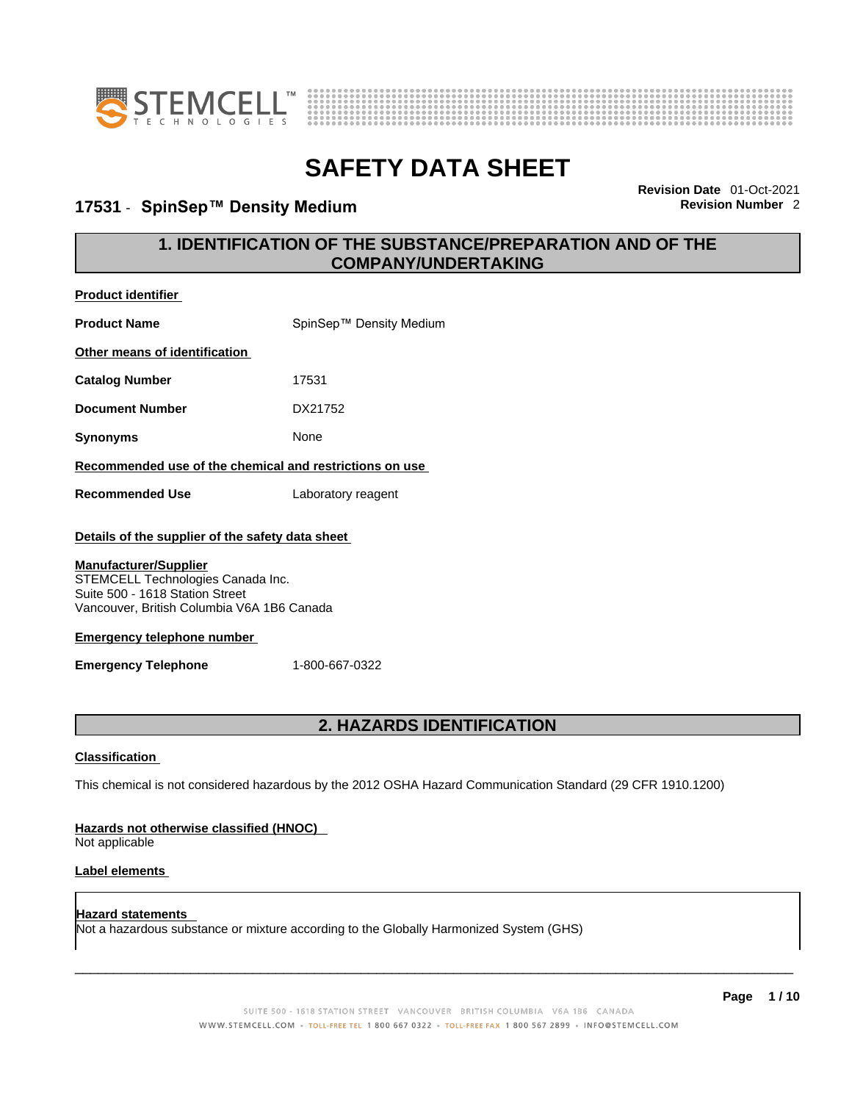

**Product identifier**



# **SAFETY DATA SHEET**

#### **17531** - **SpinSep™ Density Medium Revision Number** 2

**Revision Date** 01-Oct-2021

### **1. IDENTIFICATION OF THE SUBSTANCE/PREPARATION AND OF THE COMPANY/UNDERTAKING**

| <b>Product Name</b>                                                                                                                                | SpinSep™ Density Medium                                                                                     |
|----------------------------------------------------------------------------------------------------------------------------------------------------|-------------------------------------------------------------------------------------------------------------|
| Other means of identification                                                                                                                      |                                                                                                             |
| <b>Catalog Number</b>                                                                                                                              | 17531                                                                                                       |
| <b>Document Number</b>                                                                                                                             | DX21752                                                                                                     |
| <b>Synonyms</b>                                                                                                                                    | None                                                                                                        |
| Recommended use of the chemical and restrictions on use                                                                                            |                                                                                                             |
| <b>Recommended Use</b>                                                                                                                             | Laboratory reagent                                                                                          |
| Details of the supplier of the safety data sheet                                                                                                   |                                                                                                             |
| <b>Manufacturer/Supplier</b><br>STEMCELL Technologies Canada Inc.<br>Suite 500 - 1618 Station Street<br>Vancouver, British Columbia V6A 1B6 Canada |                                                                                                             |
| <b>Emergency telephone number</b>                                                                                                                  |                                                                                                             |
| <b>Emergency Telephone</b>                                                                                                                         | 1-800-667-0322                                                                                              |
|                                                                                                                                                    |                                                                                                             |
|                                                                                                                                                    | 2. HAZARDS IDENTIFICATION                                                                                   |
| <b>Classification</b>                                                                                                                              |                                                                                                             |
|                                                                                                                                                    | This chemical is not considered hazardous by the 2012 OSHA Hazard Communication Standard (29 CFR 1910.1200) |

#### **Hazards not otherwise classified (HNOC)**

Not applicable

#### **Label elements**

**Hazard statements**  Not a hazardous substance or mixture according to the Globally Harmonized System (GHS)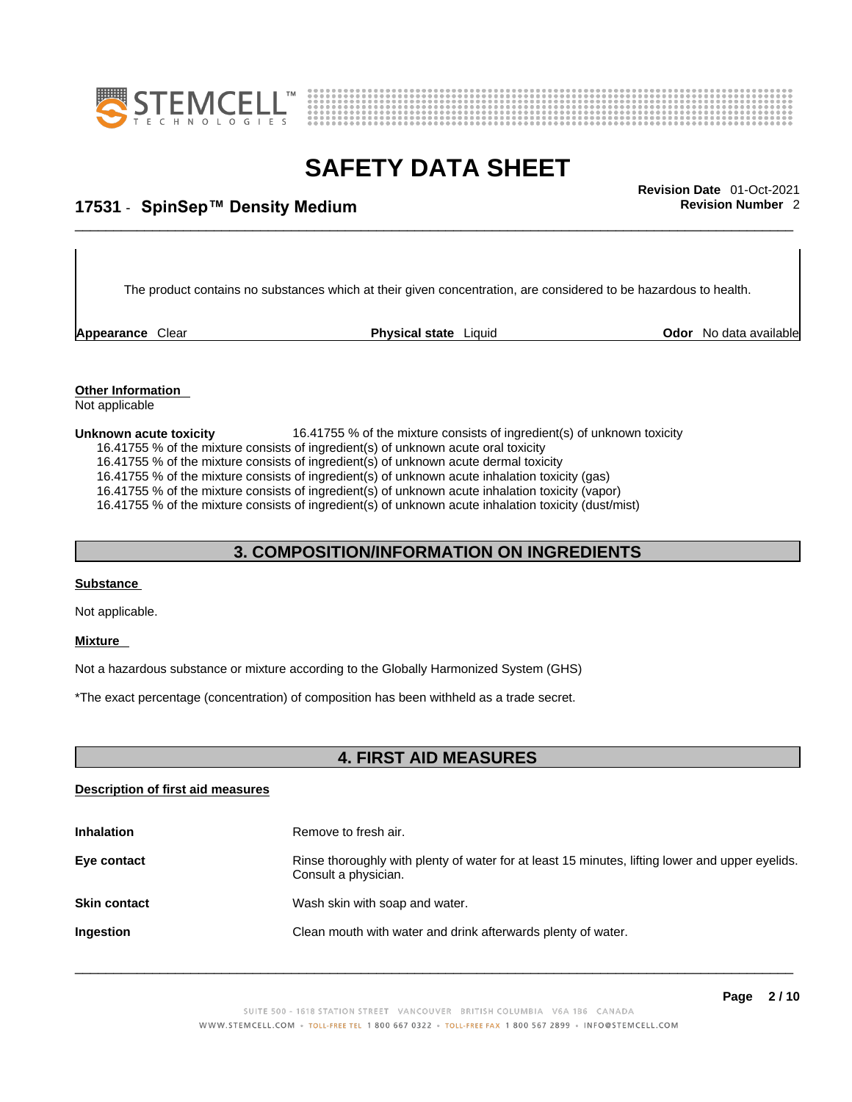



## \_\_\_\_\_\_\_\_\_\_\_\_\_\_\_\_\_\_\_\_\_\_\_\_\_\_\_\_\_\_\_\_\_\_\_\_\_\_\_\_\_\_\_\_\_\_\_\_\_\_\_\_\_\_\_\_\_\_\_\_\_\_\_\_\_\_\_\_\_\_\_\_\_\_\_\_\_\_\_\_\_\_\_\_\_\_\_\_\_\_\_\_\_ **Revision Date** 01-Oct-2021 **17531** - **SpinSep™ Density Medium Revision Number** 2

The product contains no substances which at their given concentration, are considered to be hazardous to health.

**Appearance Clear <b>Physical state** Liquid

**Odor** No data available

**Other Information**  Not applicable

**Unknown acute toxicity** 16.41755 % of the mixture consists of ingredient(s) of unknown toxicity 16.41755 % of the mixture consists of ingredient(s) of unknown acute oral toxicity 16.41755 % of the mixture consists of ingredient(s) of unknown acute dermal toxicity

16.41755 % of the mixture consists of ingredient(s) of unknown acute inhalation toxicity (gas)

16.41755 % of the mixture consists of ingredient(s) ofunknown acute inhalation toxicity (vapor)

16.41755 % of the mixture consists of ingredient(s) of unknown acute inhalation toxicity (dust/mist)

#### **3. COMPOSITION/INFORMATION ON INGREDIENTS**

#### **Substance**

Not applicable.

#### **Mixture**

Not a hazardous substance or mixture according to the Globally Harmonized System (GHS)

\*The exact percentage (concentration) of composition has been withheld as a trade secret.

#### **4. FIRST AID MEASURES**

#### **Description of first aid measures**

| <b>Inhalation</b>   | Remove to fresh air.                                                                                                    |
|---------------------|-------------------------------------------------------------------------------------------------------------------------|
| Eye contact         | Rinse thoroughly with plenty of water for at least 15 minutes, lifting lower and upper eyelids.<br>Consult a physician. |
| <b>Skin contact</b> | Wash skin with soap and water.                                                                                          |
| Ingestion           | Clean mouth with water and drink afterwards plenty of water.                                                            |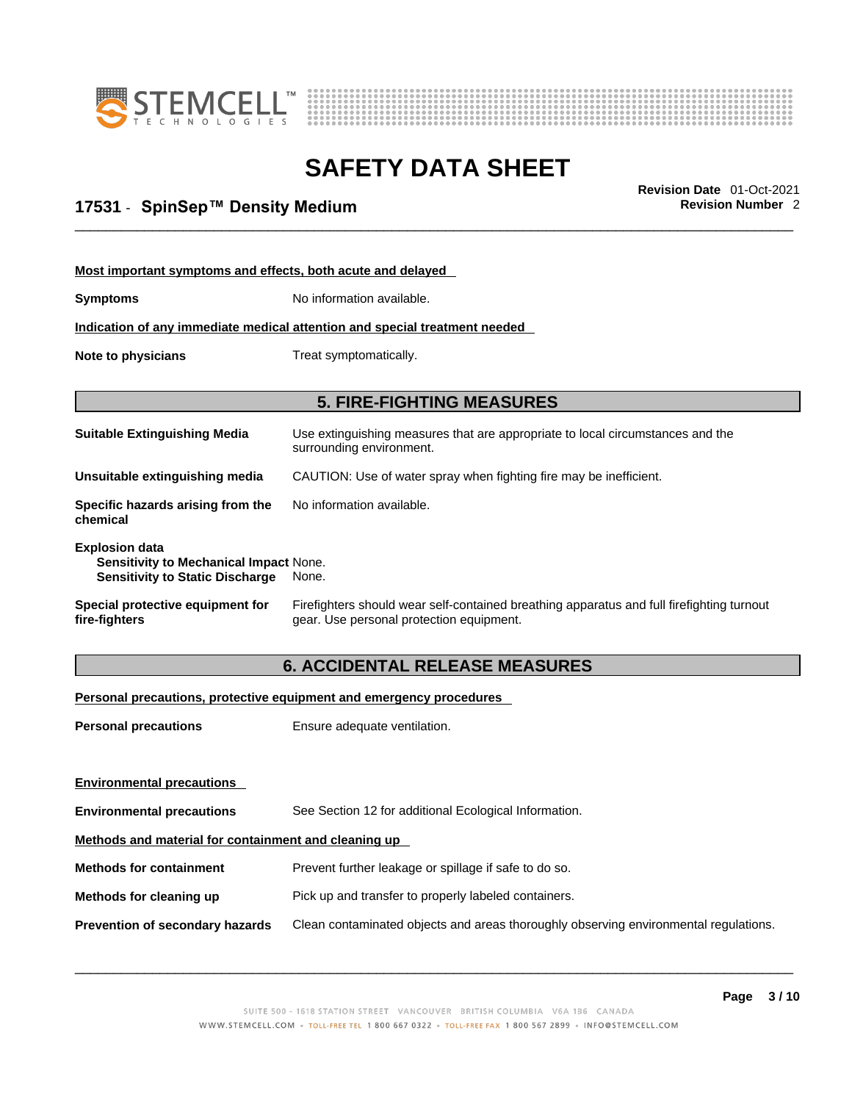



## \_\_\_\_\_\_\_\_\_\_\_\_\_\_\_\_\_\_\_\_\_\_\_\_\_\_\_\_\_\_\_\_\_\_\_\_\_\_\_\_\_\_\_\_\_\_\_\_\_\_\_\_\_\_\_\_\_\_\_\_\_\_\_\_\_\_\_\_\_\_\_\_\_\_\_\_\_\_\_\_\_\_\_\_\_\_\_\_\_\_\_\_\_ **Revision Date** 01-Oct-2021 **17531** - **SpinSep™ Density Medium Revision Number** 2

| Most important symptoms and effects, both acute and delayed                                                      |                                                                                                                                       |  |  |
|------------------------------------------------------------------------------------------------------------------|---------------------------------------------------------------------------------------------------------------------------------------|--|--|
| <b>Symptoms</b>                                                                                                  | No information available.                                                                                                             |  |  |
|                                                                                                                  | Indication of any immediate medical attention and special treatment needed                                                            |  |  |
| Note to physicians                                                                                               | Treat symptomatically.                                                                                                                |  |  |
|                                                                                                                  |                                                                                                                                       |  |  |
| <b>5. FIRE-FIGHTING MEASURES</b>                                                                                 |                                                                                                                                       |  |  |
| <b>Suitable Extinguishing Media</b>                                                                              | Use extinguishing measures that are appropriate to local circumstances and the<br>surrounding environment.                            |  |  |
| Unsuitable extinguishing media                                                                                   | CAUTION: Use of water spray when fighting fire may be inefficient.                                                                    |  |  |
| Specific hazards arising from the<br>chemical                                                                    | No information available.                                                                                                             |  |  |
| <b>Explosion data</b><br><b>Sensitivity to Mechanical Impact None.</b><br><b>Sensitivity to Static Discharge</b> | None.                                                                                                                                 |  |  |
| Special protective equipment for<br>fire-fighters                                                                | Firefighters should wear self-contained breathing apparatus and full firefighting turnout<br>gear. Use personal protection equipment. |  |  |

### **6. ACCIDENTAL RELEASE MEASURES**

#### **Personal precautions, protective equipment and emergency procedures**

| Ensure adequate ventilation.                                                         |  |  |
|--------------------------------------------------------------------------------------|--|--|
|                                                                                      |  |  |
|                                                                                      |  |  |
| See Section 12 for additional Ecological Information.                                |  |  |
| Methods and material for containment and cleaning up                                 |  |  |
| Prevent further leakage or spillage if safe to do so.                                |  |  |
| Pick up and transfer to properly labeled containers.                                 |  |  |
| Clean contaminated objects and areas thoroughly observing environmental regulations. |  |  |
|                                                                                      |  |  |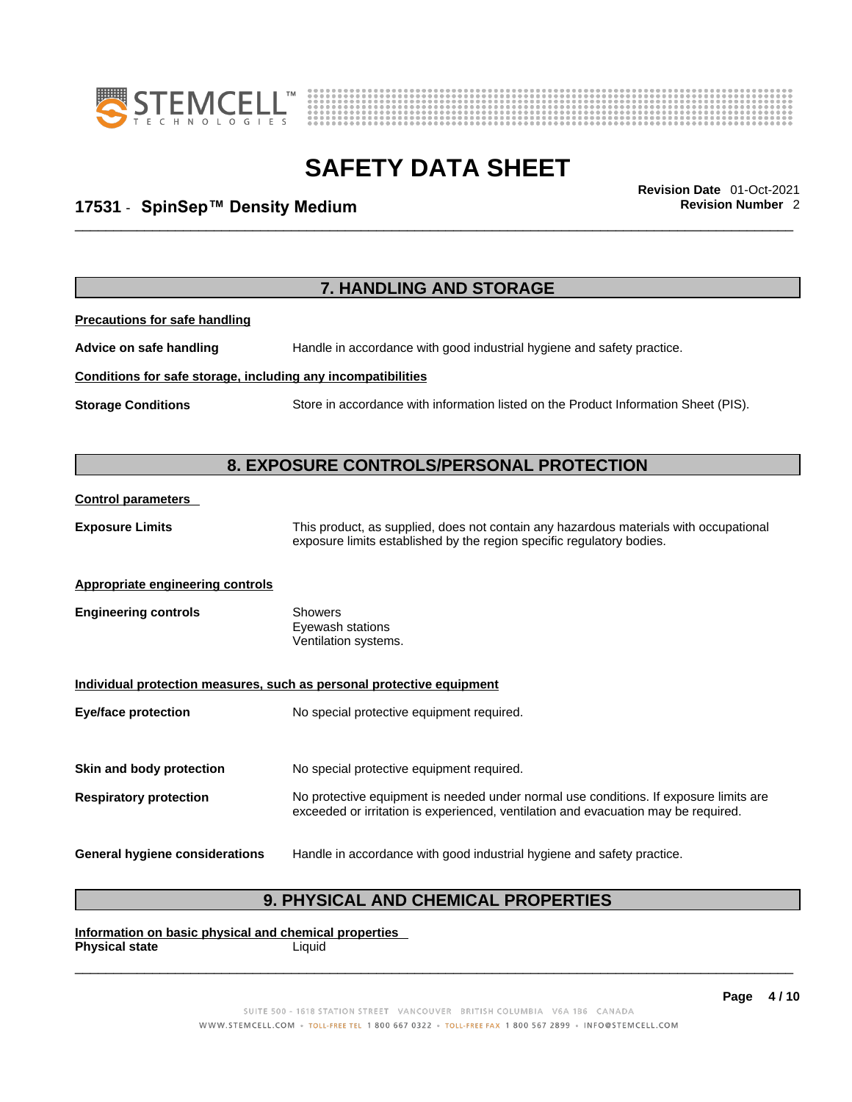



## \_\_\_\_\_\_\_\_\_\_\_\_\_\_\_\_\_\_\_\_\_\_\_\_\_\_\_\_\_\_\_\_\_\_\_\_\_\_\_\_\_\_\_\_\_\_\_\_\_\_\_\_\_\_\_\_\_\_\_\_\_\_\_\_\_\_\_\_\_\_\_\_\_\_\_\_\_\_\_\_\_\_\_\_\_\_\_\_\_\_\_\_\_ **Revision Date** 01-Oct-2021 **17531** - **SpinSep™ Density Medium Revision Number** 2

|                                                              | 7. HANDLING AND STORAGE                                                                                                                                                     |
|--------------------------------------------------------------|-----------------------------------------------------------------------------------------------------------------------------------------------------------------------------|
| <b>Precautions for safe handling</b>                         |                                                                                                                                                                             |
| Advice on safe handling                                      | Handle in accordance with good industrial hygiene and safety practice.                                                                                                      |
| Conditions for safe storage, including any incompatibilities |                                                                                                                                                                             |
| <b>Storage Conditions</b>                                    | Store in accordance with information listed on the Product Information Sheet (PIS).                                                                                         |
|                                                              | 8. EXPOSURE CONTROLS/PERSONAL PROTECTION                                                                                                                                    |
| <b>Control parameters</b>                                    |                                                                                                                                                                             |
| <b>Exposure Limits</b>                                       | This product, as supplied, does not contain any hazardous materials with occupational<br>exposure limits established by the region specific regulatory bodies.              |
| <b>Appropriate engineering controls</b>                      |                                                                                                                                                                             |
| <b>Engineering controls</b>                                  | <b>Showers</b><br>Eyewash stations<br>Ventilation systems.                                                                                                                  |
|                                                              | Individual protection measures, such as personal protective equipment                                                                                                       |
| <b>Eye/face protection</b>                                   | No special protective equipment required.                                                                                                                                   |
| Skin and body protection                                     | No special protective equipment required.                                                                                                                                   |
| <b>Respiratory protection</b>                                | No protective equipment is needed under normal use conditions. If exposure limits are<br>exceeded or irritation is experienced, ventilation and evacuation may be required. |
| <b>General hygiene considerations</b>                        | Handle in accordance with good industrial hygiene and safety practice.                                                                                                      |

### **9. PHYSICAL AND CHEMICAL PROPERTIES**

**Information on basic physical and chemical properties Physical state** Liquid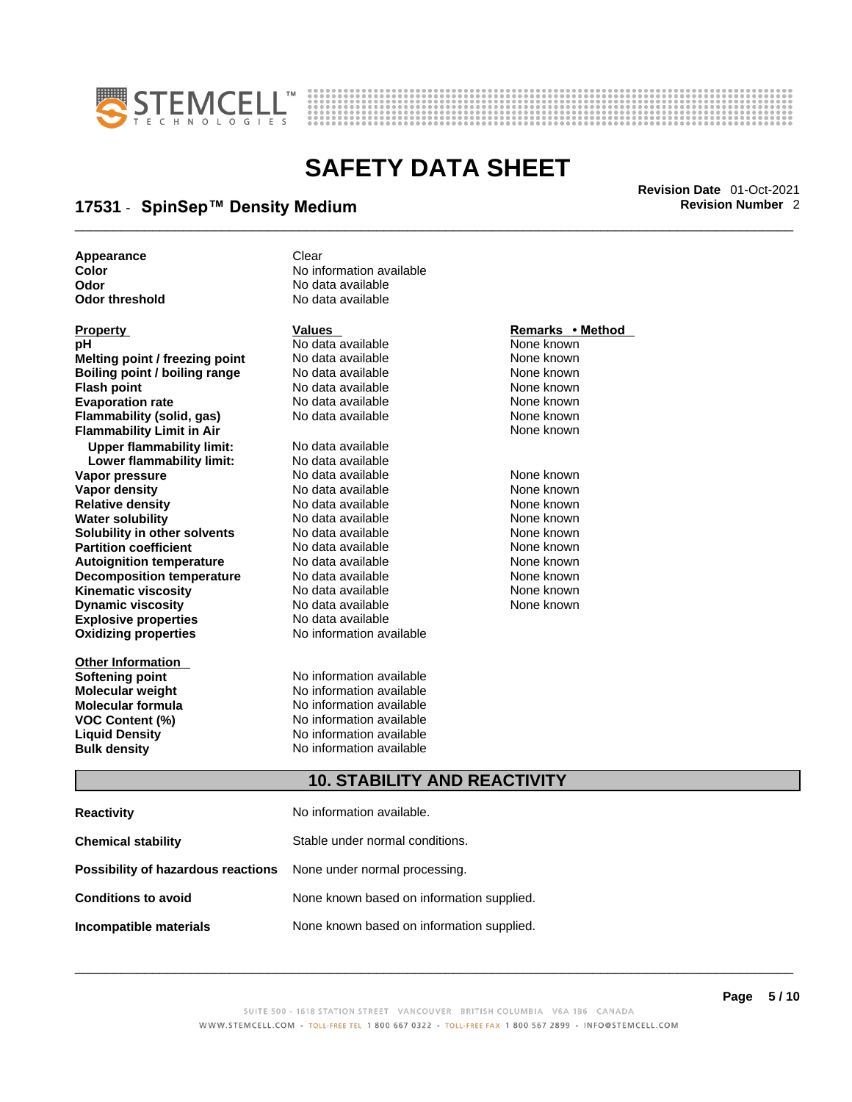



## \_\_\_\_\_\_\_\_\_\_\_\_\_\_\_\_\_\_\_\_\_\_\_\_\_\_\_\_\_\_\_\_\_\_\_\_\_\_\_\_\_\_\_\_\_\_\_\_\_\_\_\_\_\_\_\_\_\_\_\_\_\_\_\_\_\_\_\_\_\_\_\_\_\_\_\_\_\_\_\_\_\_\_\_\_\_\_\_\_\_\_\_\_ **Revision Date** 01-Oct-2021 **17531** - **SpinSep™ Density Medium Revision Number** 2

**Appearance Clear** 

**Explosive properties**<br> **Oxidizing properties**<br> **Oxidizing properties**<br> **No information available Oxidizing properties Property CONSCRUTE ACCORDING METHOD Values <b>CONSCRUTE ACCORDING METHOD METHOD METHOD VALUES Property Remarks** • **Method pH** No data available None known **Melting point / freezing point** No data available None known<br> **Rojling point / bojling range** No data available None Known None known **Boiling point / boiling range** No data available None known<br> **Flash point** None known<br>
No data available None Known None known **Flash point** No data available **Evaporation rate Cone Cone Access Mone Cone Cone Cone Access Provident Cone Cone Access Provident Cone known<br>
<b>Flammability (solid. gas)** No data available Cone Cone Known **Flammability (solid, gas)** No data available None known **Flammability Limit in Air None known None known Upper flammability limit:** No data available **Lower flammability limit:** No data available **Vapor pressure** 1980 in the Modata available 1980 in the Known None known<br> **Vapor density** 1980 in the None Known None known None known **Vapor density** No data available None known **Relative density Water solubility** No data available None known **Solubility in other solvents** No data available None known **Partition coefficient**<br> **Autoignition temperature**<br>
No data available None None known<br>
None known **Autoignition temperature** Mo data available Mone known<br> **Decomposition temperature** No data available None known **Decomposition temperature** No data available<br> **Kinematic viscosity** No data available **Kinematic viscosity No data available None known**<br> **Discussible No data available None known**<br>
None known **Dynamic viscosity No data available None known** 

**Other Information** 

**Color Color Color Color Color Color Color Color Color Color Color Color Color Color Color Color Color Color Color Color Color Color Color Color Color Color Color Color Odor No data available**<br> **Odor threshold No data available No data available** 

**Softening point**<br> **Molecular weight**<br> **Molecular weight**<br> **Molecular weight**<br> **Molecular weight No information available Molecular formula** No information available **VOC Content (%)** No information available **Liquid Density** No information available **Bulk density No information available** 

#### **10. STABILITY AND REACTIVITY**

| <b>Reactivity</b>                                                       | No information available.                 |
|-------------------------------------------------------------------------|-------------------------------------------|
| <b>Chemical stability</b>                                               | Stable under normal conditions.           |
| <b>Possibility of hazardous reactions</b> None under normal processing. |                                           |
| <b>Conditions to avoid</b>                                              | None known based on information supplied. |
| Incompatible materials                                                  | None known based on information supplied. |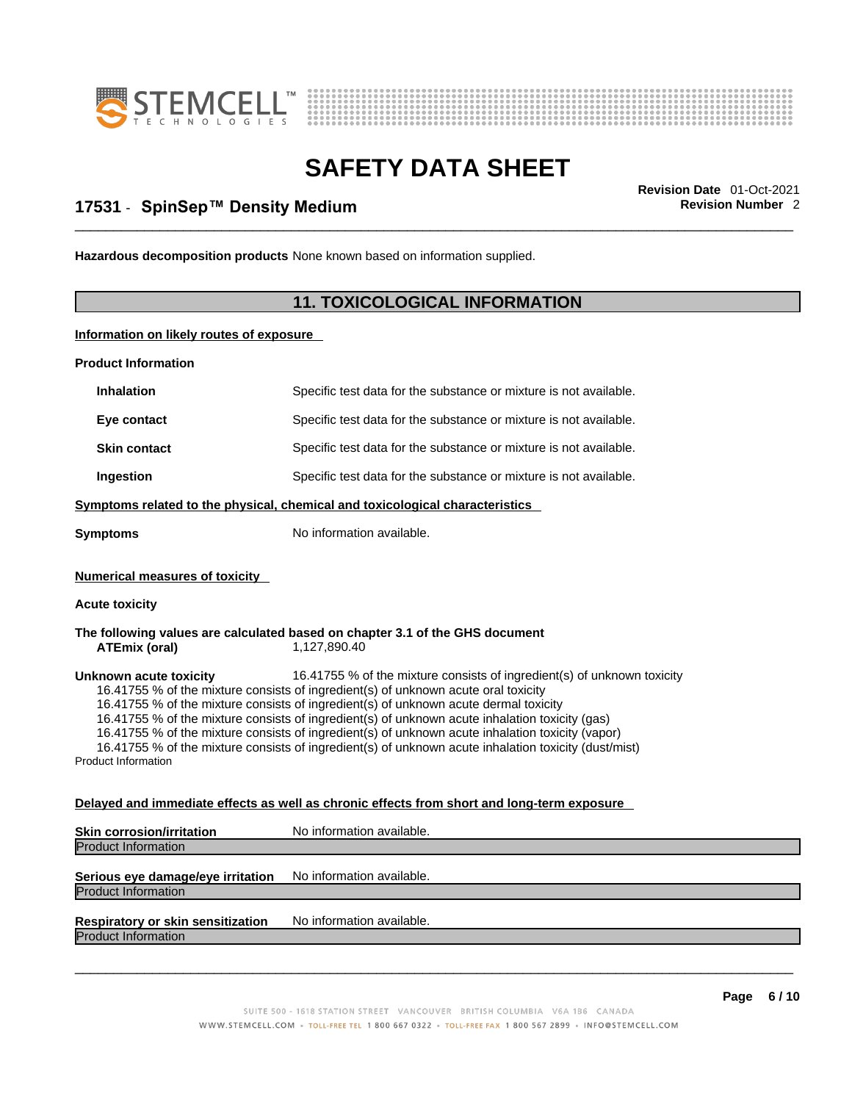



## \_\_\_\_\_\_\_\_\_\_\_\_\_\_\_\_\_\_\_\_\_\_\_\_\_\_\_\_\_\_\_\_\_\_\_\_\_\_\_\_\_\_\_\_\_\_\_\_\_\_\_\_\_\_\_\_\_\_\_\_\_\_\_\_\_\_\_\_\_\_\_\_\_\_\_\_\_\_\_\_\_\_\_\_\_\_\_\_\_\_\_\_\_ **Revision Date** 01-Oct-2021 **17531** - **SpinSep™ Density Medium Revision Number** 2

**Hazardous decomposition products** None known based on information supplied.

#### **11. TOXICOLOGICAL INFORMATION**

**Information on likely routes of exposure**

**Product Information Inhalation** Specific test data for the substance or mixture is not available. **Eye contact** Specific test data for the substance or mixture is not available. **Skin contact** Specific test data for the substance or mixture is not available. **Ingestion Specific test data for the substance or mixture is not available. Symptoms related to the physical, chemical and toxicological characteristics Symptoms** No information available. **Numerical measures of toxicity Acute toxicity The following values are calculated based on chapter 3.1 of the GHS document ATEmix** (oral) **Unknown acute toxicity** 16.41755 % of the mixture consists of ingredient(s) of unknown toxicity 16.41755 % of the mixture consists of ingredient(s) of unknown acute oral toxicity 16.41755 % of the mixture consists of ingredient(s) of unknown acute dermal toxicity 16.41755 % of the mixture consists of ingredient(s) of unknown acute inhalation toxicity (gas) 16.41755 % of the mixture consists of ingredient(s) of unknown acute inhalation toxicity (vapor) 16.41755 % of the mixture consists of ingredient(s) of unknown acute inhalation toxicity (dust/mist) Product Information **Delayed and immediate effects as well as chronic effects from short and long-term exposure Skin corrosion/irritation** No information available. Product Information **Serious eye damage/eye irritation** No information available. Product Information **Respiratory or skin sensitization** No information available. Product Information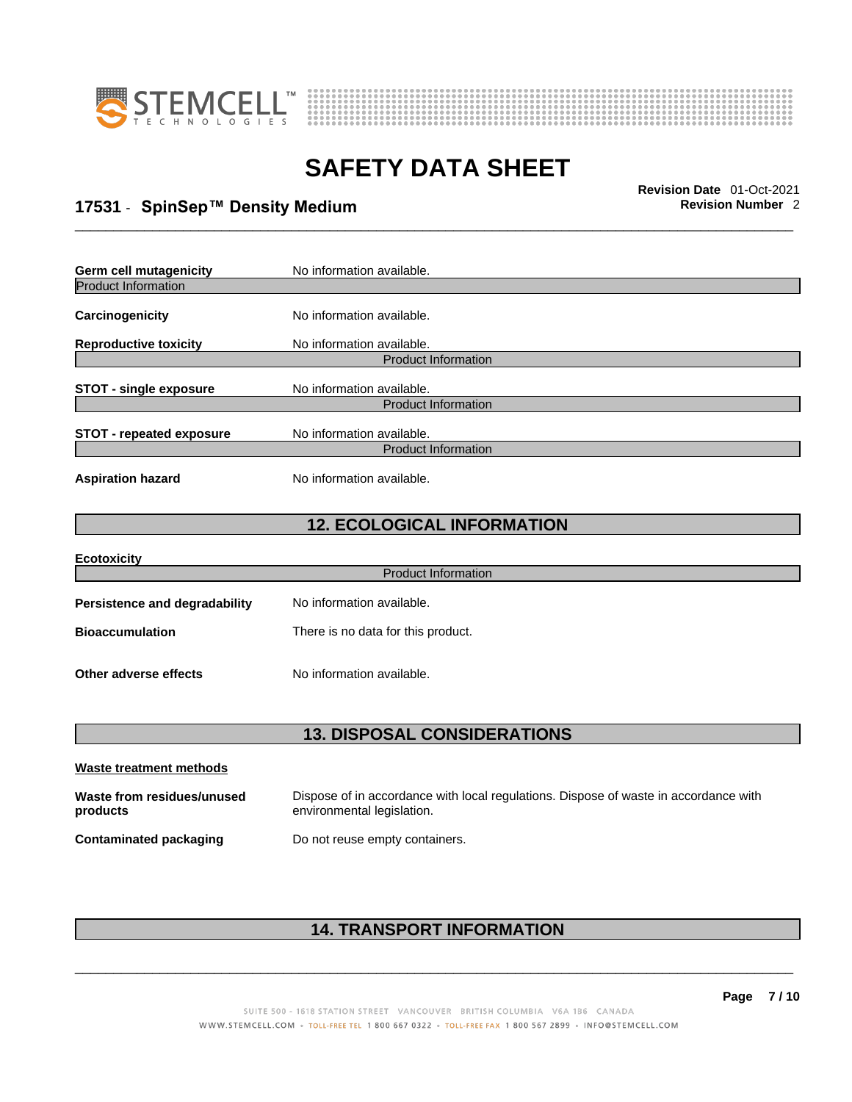



## \_\_\_\_\_\_\_\_\_\_\_\_\_\_\_\_\_\_\_\_\_\_\_\_\_\_\_\_\_\_\_\_\_\_\_\_\_\_\_\_\_\_\_\_\_\_\_\_\_\_\_\_\_\_\_\_\_\_\_\_\_\_\_\_\_\_\_\_\_\_\_\_\_\_\_\_\_\_\_\_\_\_\_\_\_\_\_\_\_\_\_\_\_ **Revision Date** 01-Oct-2021 **17531** - **SpinSep™ Density Medium Revision Number** 2

| <b>Germ cell mutagenicity</b>                                                              | No information available.                               |  |  |
|--------------------------------------------------------------------------------------------|---------------------------------------------------------|--|--|
| <b>Product Information</b>                                                                 |                                                         |  |  |
| Carcinogenicity                                                                            | No information available.                               |  |  |
| <b>Reproductive toxicity</b>                                                               | No information available.                               |  |  |
| <b>Product Information</b>                                                                 |                                                         |  |  |
| <b>STOT - single exposure</b>                                                              | No information available.<br><b>Product Information</b> |  |  |
| No information available.<br><b>STOT - repeated exposure</b><br><b>Product Information</b> |                                                         |  |  |
|                                                                                            |                                                         |  |  |
| <b>Aspiration hazard</b>                                                                   | No information available.                               |  |  |
|                                                                                            |                                                         |  |  |

#### **12. ECOLOGICAL INFORMATION**

| <b>Ecotoxicity</b>                   |                                    |  |
|--------------------------------------|------------------------------------|--|
| <b>Product Information</b>           |                                    |  |
| <b>Persistence and degradability</b> | No information available.          |  |
| <b>Bioaccumulation</b>               | There is no data for this product. |  |
|                                      |                                    |  |
| Other adverse effects                | No information available.          |  |

#### **13. DISPOSAL CONSIDERATIONS**

| Waste treatment methods                |                                                                                                                    |
|----------------------------------------|--------------------------------------------------------------------------------------------------------------------|
| Waste from residues/unused<br>products | Dispose of in accordance with local regulations. Dispose of waste in accordance with<br>environmental legislation. |
| <b>Contaminated packaging</b>          | Do not reuse empty containers.                                                                                     |

### **14. TRANSPORT INFORMATION**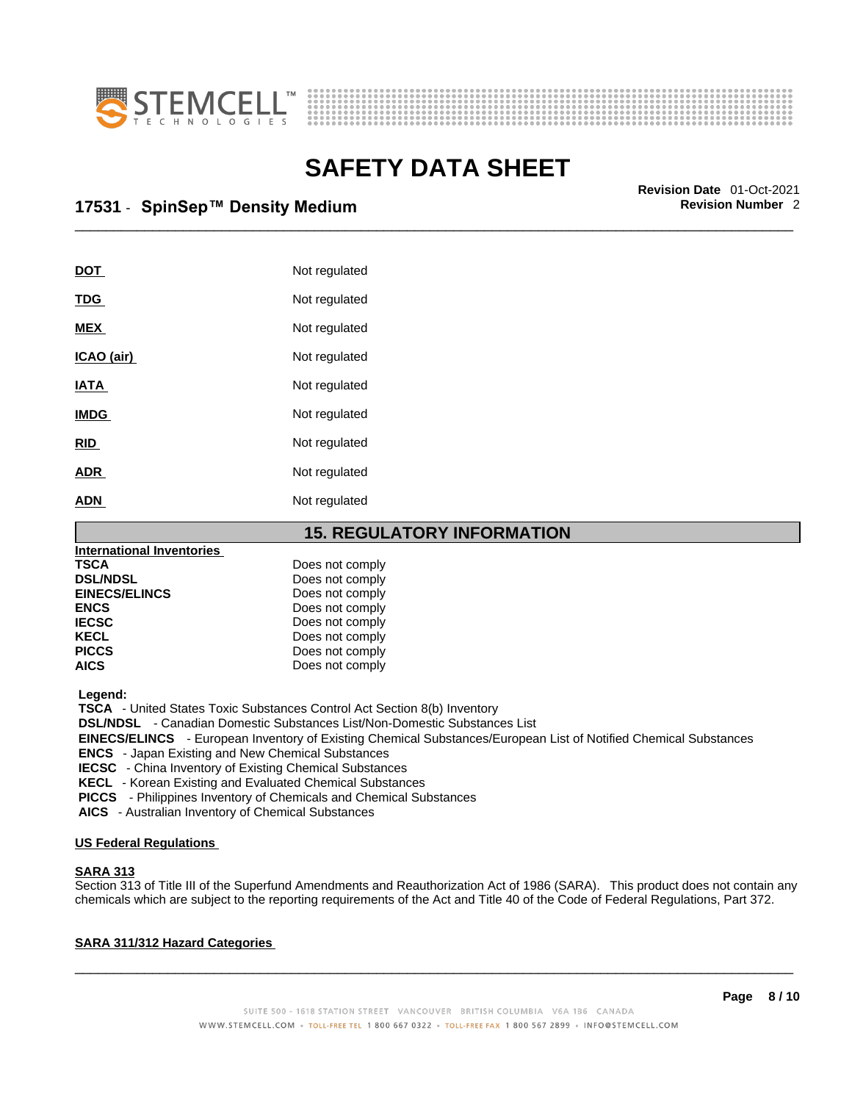



\_\_\_\_\_\_\_\_\_\_\_\_\_\_\_\_\_\_\_\_\_\_\_\_\_\_\_\_\_\_\_\_\_\_\_\_\_\_\_\_\_\_\_\_\_\_\_\_\_\_\_\_\_\_\_\_\_\_\_\_\_\_\_\_\_\_\_\_\_\_\_\_\_\_\_\_\_\_\_\_\_\_\_\_\_\_\_\_\_\_\_\_\_ **Revision Date** 01-Oct-2021 **17531** - **SpinSep™ Density Medium Revision Number** 2

| <b>DOT</b>  | Not regulated |
|-------------|---------------|
| <u>TDG</u>  | Not regulated |
| <b>MEX</b>  | Not regulated |
| ICAO (air)  | Not regulated |
| IATA        | Not regulated |
| <b>IMDG</b> | Not regulated |
| <b>RID</b>  | Not regulated |
| <b>ADR</b>  | Not regulated |
| <b>ADN</b>  | Not regulated |

**15. REGULATORY INFORMATION** 

| <b>International Inventories</b> |                 |
|----------------------------------|-----------------|
| <b>TSCA</b>                      | Does not comply |
| <b>DSL/NDSL</b>                  | Does not comply |
| <b>EINECS/ELINCS</b>             | Does not comply |
| <b>ENCS</b>                      | Does not comply |
| <b>IECSC</b>                     | Does not comply |
| <b>KECL</b>                      | Does not comply |
| <b>PICCS</b>                     | Does not comply |
| <b>AICS</b>                      | Does not comply |

 **Legend:** 

 **TSCA** - United States Toxic Substances Control Act Section 8(b) Inventory

 **DSL/NDSL** - Canadian Domestic Substances List/Non-Domestic Substances List

 **EINECS/ELINCS** - European Inventory of Existing Chemical Substances/European List of Notified Chemical Substances

 **ENCS** - Japan Existing and New Chemical Substances

 **IECSC** - China Inventory of Existing Chemical Substances

 **KECL** - Korean Existing and Evaluated Chemical Substances

 **PICCS** - Philippines Inventory of Chemicals and Chemical Substances

 **AICS** - Australian Inventory of Chemical Substances

#### **US Federal Regulations**

#### **SARA 313**

Section 313 of Title III of the Superfund Amendments and Reauthorization Act of 1986 (SARA). This product does not contain any chemicals which are subject to the reporting requirements of the Act and Title 40 of the Code of Federal Regulations, Part 372.

#### **SARA 311/312 Hazard Categories**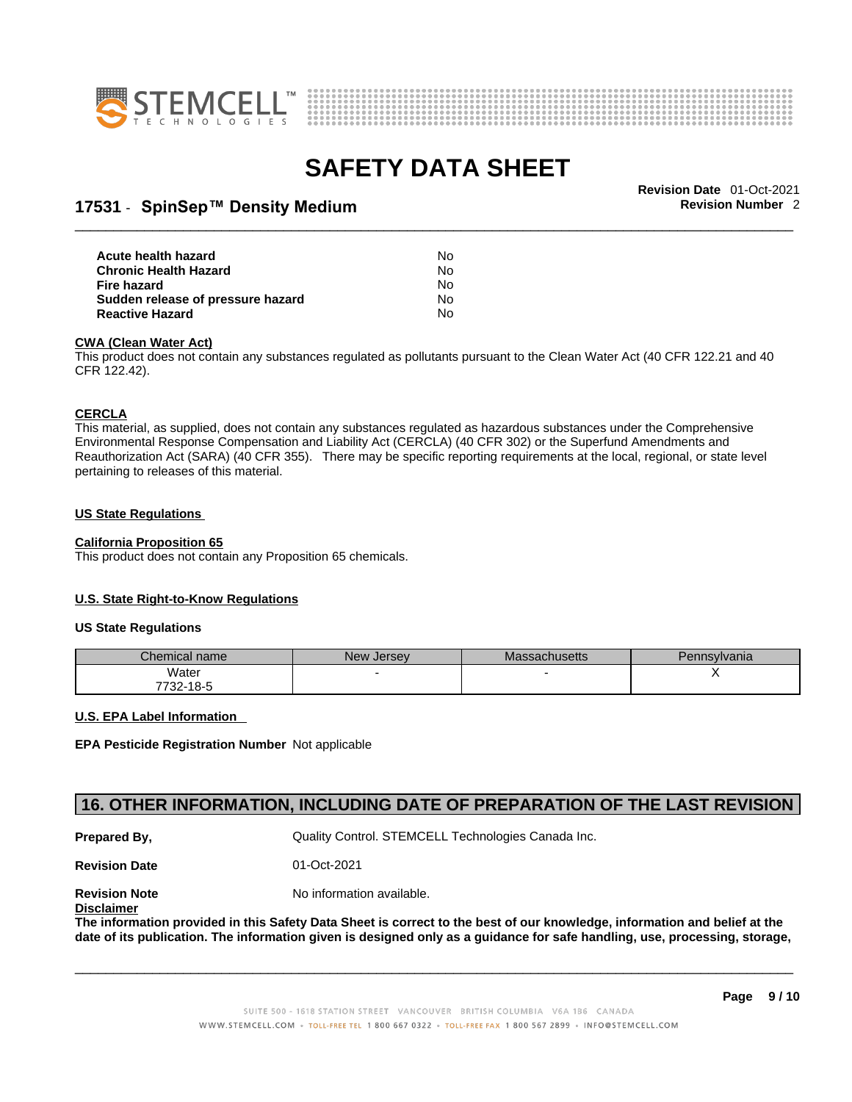



## \_\_\_\_\_\_\_\_\_\_\_\_\_\_\_\_\_\_\_\_\_\_\_\_\_\_\_\_\_\_\_\_\_\_\_\_\_\_\_\_\_\_\_\_\_\_\_\_\_\_\_\_\_\_\_\_\_\_\_\_\_\_\_\_\_\_\_\_\_\_\_\_\_\_\_\_\_\_\_\_\_\_\_\_\_\_\_\_\_\_\_\_\_ **Revision Date** 01-Oct-2021 **17531** - **SpinSep™ Density Medium Revision Number** 2

| Acute health hazard               | No. |  |
|-----------------------------------|-----|--|
| Chronic Health Hazard             | No. |  |
| Fire hazard                       | N∩  |  |
| Sudden release of pressure hazard | No. |  |
| Reactive Hazard                   | N٥  |  |

#### **CWA** (Clean Water Act)

This product does not contain any substances regulated as pollutants pursuant to the Clean Water Act (40 CFR 122.21 and 40 CFR 122.42).

#### **CERCLA**

This material, as supplied, does not contain any substances regulated as hazardous substances under the Comprehensive Environmental Response Compensation and Liability Act (CERCLA) (40 CFR 302) or the Superfund Amendments and Reauthorization Act (SARA) (40 CFR 355). There may be specific reporting requirements at the local, regional, or state level pertaining to releases of this material.

#### **US State Regulations**

#### **California Proposition 65**

This product does not contain any Proposition 65 chemicals.

#### **U.S. State Right-to-Know Regulations**

#### **US State Regulations**

| $\mathcal L$ hemical name | New Jersey | <b>Massachusetts</b> | Pennsylvania |
|---------------------------|------------|----------------------|--------------|
| Water                     |            |                      |              |
| 7700<br>ٹ-18<br>∶ >∠-     |            |                      |              |

#### **U.S. EPA Label Information**

**EPA Pesticide Registration Number** Not applicable

#### **16. OTHER INFORMATION, INCLUDING DATE OF PREPARATION OF THE LAST REVISION**

**Prepared By, State Control. STEMCELL Technologies Canada Inc.** Cuality Control. STEMCELL Technologies Canada Inc.

**Revision Date** 01-Oct-2021

**Revision Note** Noinformation available. **Disclaimer**

The information provided in this Safety Data Sheet is correct to the best of our knowledge, information and belief at the date of its publication. The information given is designed only as a guidance for safe handling, use, processing, storage,